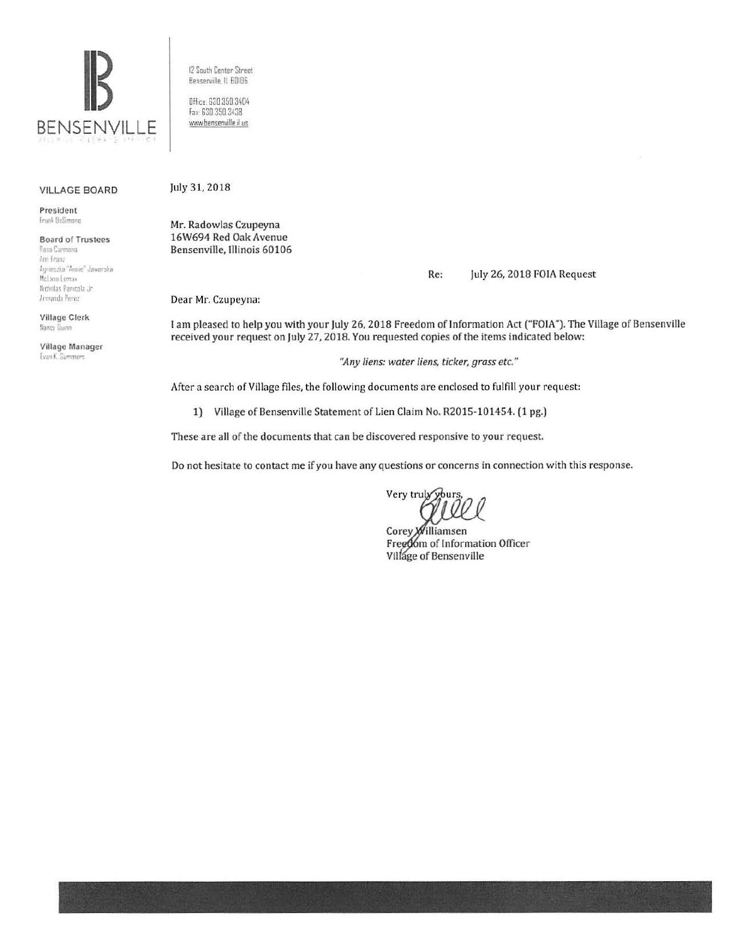

12 South Center Street Bensemille ll 60!06

Office. 630.350 3404 Fax: 630 350 3438 1•Mw.bensenville ii us

#### VILLAGE BOARD

President Frank DeSimone

# **Board of Trustees**<br>Rosa Carmona

**'n** *l* **an.**  Annieszka "Annie" Jaworska Mel ane Loma» Nicholas Panicola Jr. Armando Perez

Village Clerk Nancy Durm

Village Manager Evan K. Summers

July 31, 2018

Mr. Radowlas Czupeyna 16W694 Red Oak Avenue Bensenville, Illinois 60106

Re: July 26, 2018 FOIA Request

Dear Mr. Czupeyna:

I am pleased to help you with your July 26, 2018 Freedom of Information Act ("FOIA''). The Village of Bensenville received your request on July 27, 2018. You requested copies of the items indicated below:

*"Any liens: water liens, ticker, grass etc."* 

After a search of Village files, the following documents are enclosed to fulfill your request:

1) Village of Bensenville Statement of Lien Claim No. R2015-101454. (1 pg.)

These are all of the documents that can be discovered responsive to your request.

Do not hesitate to contact me if you have any questions or concerns in connection with this response.

Very truly yours

Corey *Milliamsen* Free06m of Information Officer Village of Bensenville